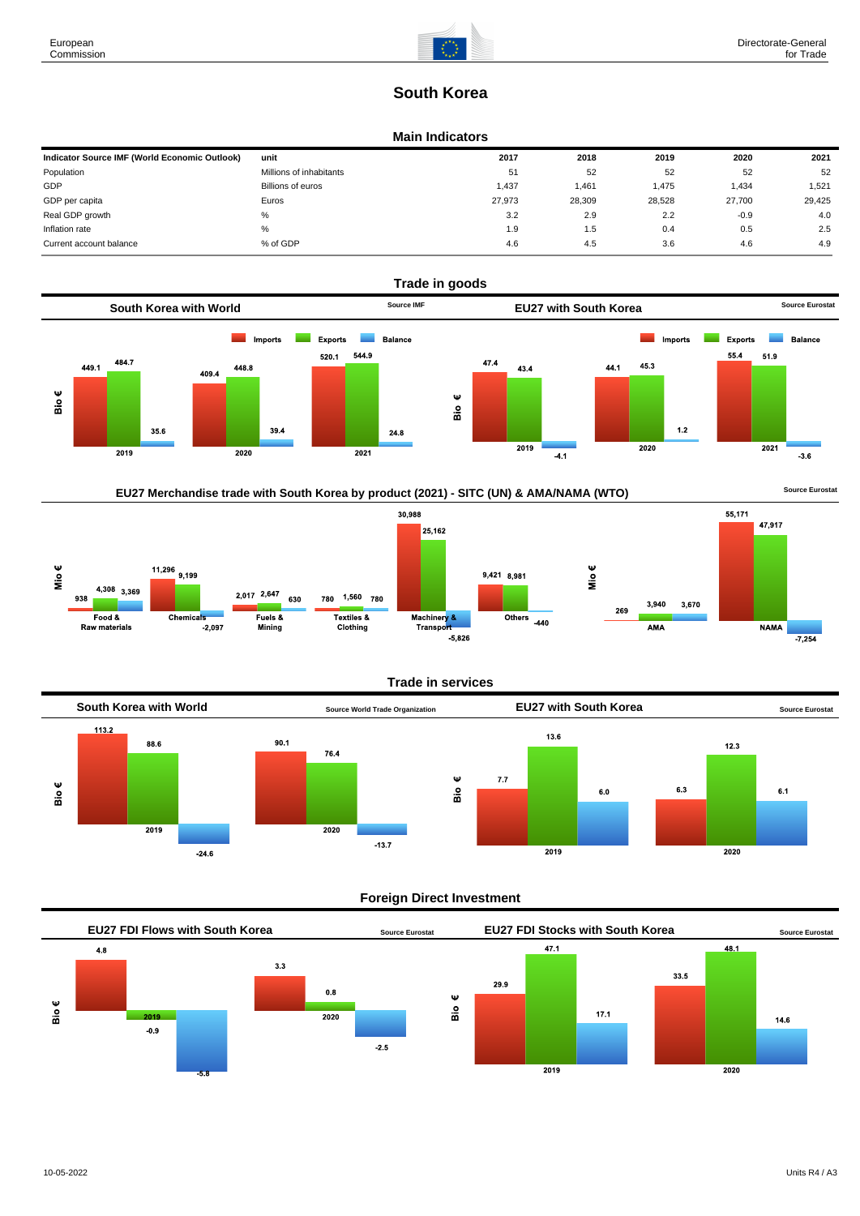

# **South Korea**

#### **Main Indicators**

| Indicator Source IMF (World Economic Outlook) | unit                    | 2017   | 2018   | 2019   | 2020   | 2021   |
|-----------------------------------------------|-------------------------|--------|--------|--------|--------|--------|
| Population                                    | Millions of inhabitants | 51     | 52     | 52     | 52     | 52     |
| GDP                                           | Billions of euros       | 1,437  | .461   | 1,475  | 1,434  | 1,521  |
| GDP per capita                                | Euros                   | 27.973 | 28,309 | 28,528 | 27.700 | 29,425 |
| Real GDP growth                               | %                       | 3.2    | 2.9    | 2.2    | $-0.9$ | 4.0    |
| Inflation rate                                | $\%$                    | 1.9    | 1.5    | 0.4    | 0.5    | 2.5    |
| Current account balance                       | % of GDP                | 4.6    | 4.5    | 3.6    | 4.6    | 4.9    |







#### **Trade in services**



#### **Foreign Direct Investment**